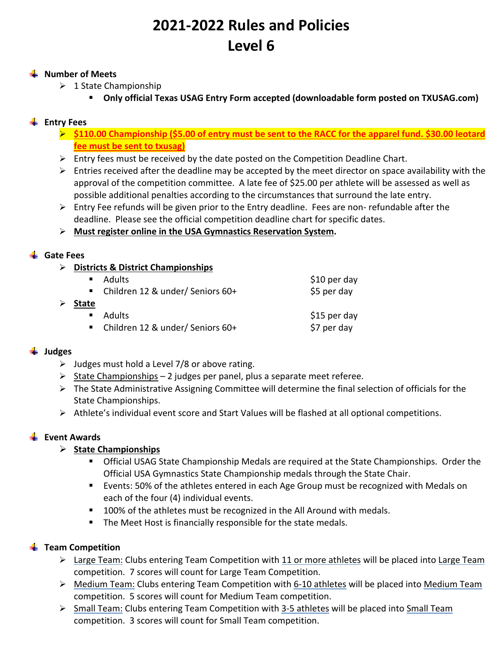# **2021‐2022 Rules and Policies Level 6**

#### **Wumber of Meets**

- $\geq 1$  State Championship
	- **Only official Texas USAG Entry Form accepted (downloadable form posted on TXUSAG.com)**

# **Entry Fees**

- **\$110.00 Championship (\$5.00 of entry must be sent to the RACC for the apparel fund. \$30.00 leotard fee must be sent to txusag)**
- $\triangleright$  Entry fees must be received by the date posted on the Competition Deadline Chart.
- $\triangleright$  Entries received after the deadline may be accepted by the meet director on space availability with the approval of the competition committee. A late fee of \$25.00 per athlete will be assessed as well as possible additional penalties according to the circumstances that surround the late entry.
- $\triangleright$  Entry Fee refunds will be given prior to the Entry deadline. Fees are non-refundable after the deadline. Please see the official competition deadline chart for specific dates.

#### **Must register online in the USA Gymnastics Reservation System.**

#### **Gate Fees**

- **Districts & District Championships** 
	- $\blacksquare$  Adults  $\blacksquare$  Adults  $\blacksquare$

|              | ■ Children 12 & under/ Seniors 60+ | \$5 per day  |
|--------------|------------------------------------|--------------|
| <b>State</b> |                                    |              |
|              | ■ Adults                           | \$15 per day |
|              | ■ Children 12 & under/ Seniors 60+ | \$7 per day  |

## **Judges**

- $\triangleright$  Judges must hold a Level 7/8 or above rating.
- $\triangleright$  State Championships 2 judges per panel, plus a separate meet referee.
- $\triangleright$  The State Administrative Assigning Committee will determine the final selection of officials for the State Championships.
- $\triangleright$  Athlete's individual event score and Start Values will be flashed at all optional competitions.

## **Event Awards**

## **State Championships**

- Official USAG State Championship Medals are required at the State Championships. Order the Official USA Gymnastics State Championship medals through the State Chair.
- Events: 50% of the athletes entered in each Age Group must be recognized with Medals on each of the four (4) individual events.
- **100% of the athletes must be recognized in the All Around with medals.**
- **The Meet Host is financially responsible for the state medals.**

## **Team Competition**

- $\triangleright$  Large Team: Clubs entering Team Competition with 11 or more athletes will be placed into Large Team competition. 7 scores will count for Large Team Competition.
- Medium Team: Clubs entering Team Competition with 6‐10 athletes will be placed into Medium Team competition. 5 scores will count for Medium Team competition.
- > Small Team: Clubs entering Team Competition with 3-5 athletes will be placed into Small Team competition. 3 scores will count for Small Team competition.